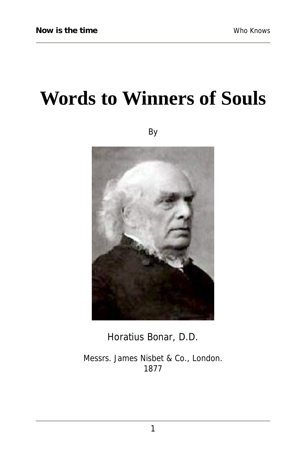# **Words to Winners of Souls**

By



Horatius Bonar, D.D.

Messrs. James Nisbet & Co., London. 1877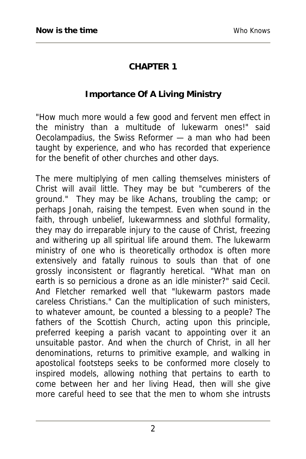## **CHAPTER 1**

## **Importance Of A Living Ministry**

"How much more would a few good and fervent men effect in the ministry than a multitude of lukewarm ones!" said Oecolampadius, the Swiss Reformer — a man who had been taught by experience, and who has recorded that experience for the benefit of other churches and other days.

The mere multiplying of men calling themselves ministers of Christ will avail little. They may be but "cumberers of the ground." They may be like Achans, troubling the camp; or perhaps Jonah, raising the tempest. Even when sound in the faith, through unbelief, lukewarmness and slothful formality, they may do irreparable injury to the cause of Christ, freezing and withering up all spiritual life around them. The lukewarm ministry of one who is theoretically orthodox is often more extensively and fatally ruinous to souls than that of one grossly inconsistent or flagrantly heretical. "What man on earth is so pernicious a drone as an idle minister?" said Cecil. And Fletcher remarked well that "lukewarm pastors made careless Christians." Can the multiplication of such ministers, to whatever amount, be counted a blessing to a people? The fathers of the Scottish Church, acting upon this principle, preferred keeping a parish vacant to appointing over it an unsuitable pastor. And when the church of Christ, in all her denominations, returns to primitive example, and walking in apostolical footsteps seeks to be conformed more closely to inspired models, allowing nothing that pertains to earth to come between her and her living Head, then will she give more careful heed to see that the men to whom she intrusts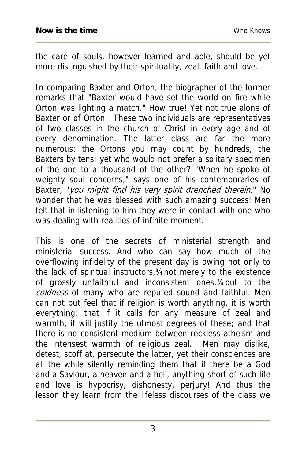the care of souls, however learned and able, should be yet more distinguished by their spirituality, zeal, faith and love.

In comparing Baxter and Orton, the biographer of the former remarks that "Baxter would have set the world on fire while Orton was lighting a match." How true! Yet not true alone of Baxter or of Orton. These two individuals are representatives of two classes in the church of Christ in every age and of every denomination. The latter class are far the more numerous: the Ortons you may count by hundreds, the Baxters by tens; yet who would not prefer a solitary specimen of the one to a thousand of the other? "When he spoke of weighty soul concerns," says one of his contemporaries of Baxter, "you might find his very spirit drenched therein." No wonder that he was blessed with such amazing success! Men felt that in listening to him they were in contact with one who was dealing with realities of infinite moment.

This is one of the secrets of ministerial strength and ministerial success. And who can say how much of the overflowing infidelity of the present day is owing not only to the lack of spiritual instructors, 34not merely to the existence of grossly unfaithful and inconsistent ones,¾but to the coldness of many who are reputed sound and faithful. Men can not but feel that if religion is worth anything, it is worth everything; that if it calls for any measure of zeal and warmth, it will justify the utmost degrees of these; and that there is no consistent medium between reckless atheism and the intensest warmth of religious zeal. Men may dislike, detest, scoff at, persecute the latter, yet their consciences are all the while silently reminding them that if there be a God and a Saviour, a heaven and a hell, anything short of such life and love is hypocrisy, dishonesty, perjury! And thus the lesson they learn from the lifeless discourses of the class we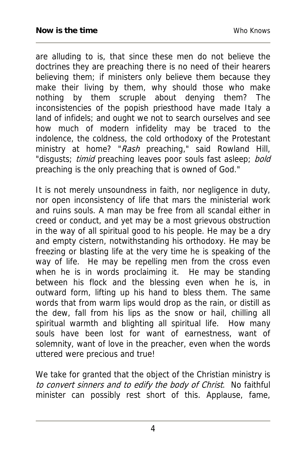are alluding to is, that since these men do not believe the doctrines they are preaching there is no need of their hearers believing them; if ministers only believe them because they make their living by them, why should those who make nothing by them scruple about denying them? The inconsistencies of the popish priesthood have made Italy a land of infidels; and ought we not to search ourselves and see how much of modern infidelity may be traced to the indolence, the coldness, the cold orthodoxy of the Protestant ministry at home? "Rash preaching," said Rowland Hill, "disgusts; *timid* preaching leaves poor souls fast asleep; bold preaching is the only preaching that is owned of God."

It is not merely unsoundness in faith, nor negligence in duty, nor open inconsistency of life that mars the ministerial work and ruins souls. A man may be free from all scandal either in creed or conduct, and yet may be a most grievous obstruction in the way of all spiritual good to his people. He may be a dry and empty cistern, notwithstanding his orthodoxy. He may be freezing or blasting life at the very time he is speaking of the way of life. He may be repelling men from the cross even when he is in words proclaiming it. He may be standing between his flock and the blessing even when he is, in outward form, lifting up his hand to bless them. The same words that from warm lips would drop as the rain, or distill as the dew, fall from his lips as the snow or hail, chilling all spiritual warmth and blighting all spiritual life. How many souls have been lost for want of earnestness, want of solemnity, want of love in the preacher, even when the words uttered were precious and true!

We take for granted that the object of the Christian ministry is to convert sinners and to edify the body of Christ. No faithful minister can possibly rest short of this. Applause, fame,

4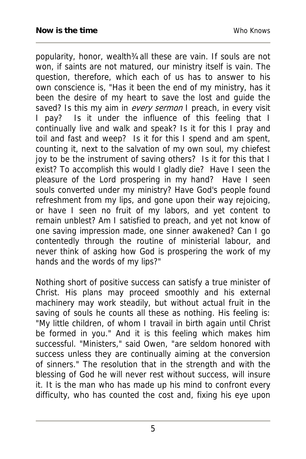popularity, honor, wealth¾all these are vain. If souls are not won, if saints are not matured, our ministry itself is vain. The question, therefore, which each of us has to answer to his own conscience is, "Has it been the end of my ministry, has it been the desire of my heart to save the lost and guide the saved? Is this my aim in every sermon I preach, in every visit I pay? Is it under the influence of this feeling that I continually live and walk and speak? Is it for this I pray and toil and fast and weep? Is it for this I spend and am spent, counting it, next to the salvation of my own soul, my chiefest joy to be the instrument of saving others? Is it for this that I exist? To accomplish this would I gladly die? Have I seen the pleasure of the Lord prospering in my hand? Have I seen souls converted under my ministry? Have God's people found refreshment from my lips, and gone upon their way rejoicing, or have I seen no fruit of my labors, and yet content to remain unblest? Am I satisfied to preach, and yet not know of one saving impression made, one sinner awakened? Can I go contentedly through the routine of ministerial labour, and never think of asking how God is prospering the work of my hands and the words of my lips?"

Nothing short of positive success can satisfy a true minister of Christ. His plans may proceed smoothly and his external machinery may work steadily, but without actual fruit in the saving of souls he counts all these as nothing. His feeling is: "My little children, of whom I travail in birth again until Christ be formed in you." And it is this feeling which makes him successful. "Ministers," said Owen, "are seldom honored with success unless they are continually aiming at the conversion of sinners." The resolution that in the strength and with the blessing of God he will never rest without success, will insure it. It is the man who has made up his mind to confront every difficulty, who has counted the cost and, fixing his eye upon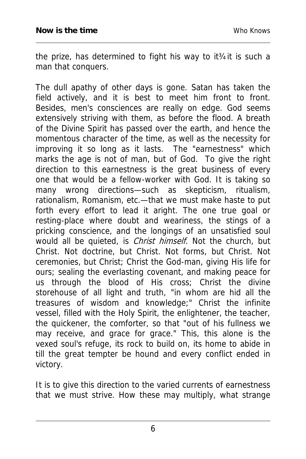the prize, has determined to fight his way to it¾it is such a man that conquers.

The dull apathy of other days is gone. Satan has taken the field actively, and it is best to meet him front to front. Besides, men's consciences are really on edge. God seems extensively striving with them, as before the flood. A breath of the Divine Spirit has passed over the earth, and hence the momentous character of the time, as well as the necessity for improving it so long as it lasts. The "earnestness" which marks the age is not of man, but of God. To give the right direction to this earnestness is the great business of every one that would be a fellow-worker with God. It is taking so many wrong directions—such as skepticism, ritualism, rationalism, Romanism, etc.—that we must make haste to put forth every effort to lead it aright. The one true goal or resting-place where doubt and weariness, the stings of a pricking conscience, and the longings of an unsatisfied soul would all be quieted, is *Christ himself*. Not the church, but Christ. Not doctrine, but Christ. Not forms, but Christ. Not ceremonies, but Christ; Christ the God-man, giving His life for ours; sealing the everlasting covenant, and making peace for us through the blood of His cross; Christ the divine storehouse of all light and truth, "in whom are hid all the treasures of wisdom and knowledge;" Christ the infinite vessel, filled with the Holy Spirit, the enlightener, the teacher, the quickener, the comforter, so that "out of his fullness we may receive, and grace for grace." This, this alone is the vexed soul's refuge, its rock to build on, its home to abide in till the great tempter be hound and every conflict ended in victory.

It is to give this direction to the varied currents of earnestness that we must strive. How these may multiply, what strange

6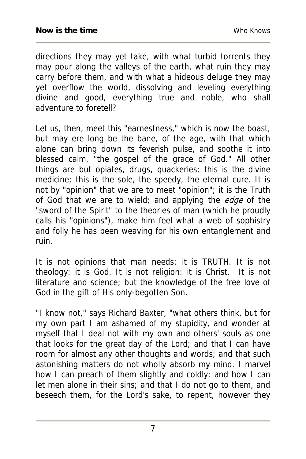directions they may yet take, with what turbid torrents they may pour along the valleys of the earth, what ruin they may carry before them, and with what a hideous deluge they may yet overflow the world, dissolving and leveling everything divine and good, everything true and noble, who shall adventure to foretell?

Let us, then, meet this "earnestness," which is now the boast, but may ere long be the bane, of the age, with that which alone can bring down its feverish pulse, and soothe it into blessed calm, "the gospel of the grace of God." All other things are but opiates, drugs, quackeries; this is the divine medicine; this is the sole, the speedy, the eternal cure. It is not by "opinion" that we are to meet "opinion"; it is the Truth of God that we are to wield; and applying the edge of the "sword of the Spirit" to the theories of man (which he proudly calls his "opinions"), make him feel what a web of sophistry and folly he has been weaving for his own entanglement and ruin.

It is not opinions that man needs: it is TRUTH. It is not theology: it is God. It is not religion: it is Christ. It is not literature and science; but the knowledge of the free love of God in the gift of His only-begotten Son.

"I know not," says Richard Baxter, "what others think, but for my own part I am ashamed of my stupidity, and wonder at myself that I deal not with my own and others' souls as one that looks for the great day of the Lord; and that I can have room for almost any other thoughts and words; and that such astonishing matters do not wholly absorb my mind. I marvel how I can preach of them slightly and coldly; and how I can let men alone in their sins; and that I do not go to them, and beseech them, for the Lord's sake, to repent, however they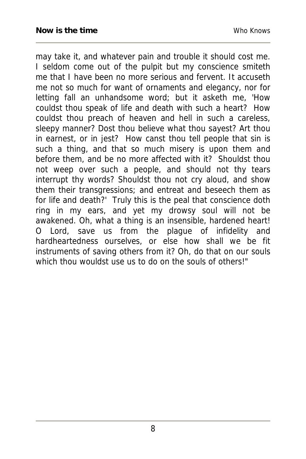may take it, and whatever pain and trouble it should cost me. I seldom come out of the pulpit but my conscience smiteth me that I have been no more serious and fervent. It accuseth me not so much for want of ornaments and elegancy, nor for letting fall an unhandsome word; but it asketh me, 'How couldst thou speak of life and death with such a heart? How couldst thou preach of heaven and hell in such a careless, sleepy manner? Dost thou believe what thou sayest? Art thou in earnest, or in jest? How canst thou tell people that sin is such a thing, and that so much misery is upon them and before them, and be no more affected with it? Shouldst thou not weep over such a people, and should not thy tears interrupt thy words? Shouldst thou not cry aloud, and show them their transgressions; and entreat and beseech them as for life and death?' Truly this is the peal that conscience doth ring in my ears, and yet my drowsy soul will not be awakened. Oh, what a thing is an insensible, hardened heart! O Lord, save us from the plague of infidelity and hardheartedness ourselves, or else how shall we be fit instruments of saving others from it? Oh, do that on our souls which thou wouldst use us to do on the souls of others!"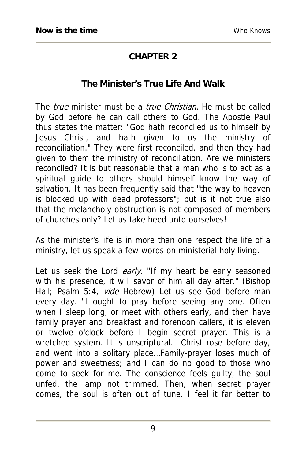# **CHAPTER 2**

#### **The Minister's True Life And Walk**

The *true* minister must be a *true Christian*. He must be called by God before he can call others to God. The Apostle Paul thus states the matter: "God hath reconciled us to himself by Jesus Christ, and hath given to us the ministry of reconciliation." They were first reconciled, and then they had given to them the ministry of reconciliation. Are we ministers reconciled? It is but reasonable that a man who is to act as a spiritual guide to others should himself know the way of salvation. It has been frequently said that "the way to heaven is blocked up with dead professors"; but is it not true also that the melancholy obstruction is not composed of members of churches only? Let us take heed unto ourselves!

As the minister's life is in more than one respect the life of a ministry, let us speak a few words on ministerial holy living.

Let us seek the Lord early. "If my heart be early seasoned with his presence, it will savor of him all day after." (Bishop Hall; Psalm 5:4, vide Hebrew) Let us see God before man every day. "I ought to pray before seeing any one. Often when I sleep long, or meet with others early, and then have family prayer and breakfast and forenoon callers, it is eleven or twelve o'clock before I begin secret prayer. This is a wretched system. It is unscriptural. Christ rose before day, and went into a solitary place…Family-prayer loses much of power and sweetness; and I can do no good to those who come to seek for me. The conscience feels guilty, the soul unfed, the lamp not trimmed. Then, when secret prayer comes, the soul is often out of tune. I feel it far better to

9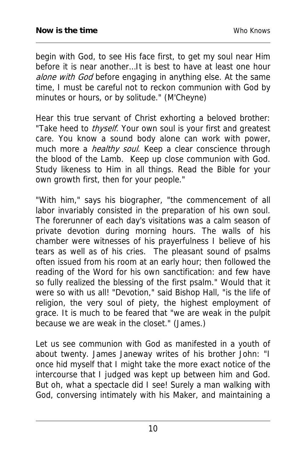begin with God, to see His face first, to get my soul near Him before it is near another…It is best to have at least one hour alone with God before engaging in anything else. At the same time, I must be careful not to reckon communion with God by minutes or hours, or by solitude." (M'Cheyne)

Hear this true servant of Christ exhorting a beloved brother: "Take heed to *thyself*. Your own soul is your first and greatest care. You know a sound body alone can work with power, much more a *healthy soul*. Keep a clear conscience through the blood of the Lamb. Keep up close communion with God. Study likeness to Him in all things. Read the Bible for your own growth first, then for your people."

"With him," says his biographer, "the commencement of all labor invariably consisted in the preparation of his own soul. The forerunner of each day's visitations was a calm season of private devotion during morning hours. The walls of his chamber were witnesses of his prayerfulness I believe of his tears as well as of his cries. The pleasant sound of psalms often issued from his room at an early hour; then followed the reading of the Word for his own sanctification: and few have so fully realized the blessing of the first psalm." Would that it were so with us all! "Devotion," said Bishop Hall, "is the life of religion, the very soul of piety, the highest employment of grace. It is much to be feared that "we are weak in the pulpit because we are weak in the closet." (James.)

Let us see communion with God as manifested in a youth of about twenty. James Janeway writes of his brother John: "I once hid myself that I might take the more exact notice of the intercourse that I judged was kept up between him and God. But oh, what a spectacle did I see! Surely a man walking with God, conversing intimately with his Maker, and maintaining a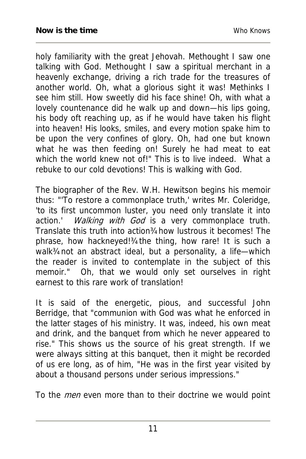holy familiarity with the great Jehovah. Methought I saw one talking with God. Methought I saw a spiritual merchant in a heavenly exchange, driving a rich trade for the treasures of another world. Oh, what a glorious sight it was! Methinks I see him still. How sweetly did his face shine! Oh, with what a lovely countenance did he walk up and down—his lips going, his body oft reaching up, as if he would have taken his flight into heaven! His looks, smiles, and every motion spake him to be upon the very confines of glory. Oh, had one but known what he was then feeding on! Surely he had meat to eat which the world knew not of!" This is to live indeed. What a rebuke to our cold devotions! This is walking with God.

The biographer of the Rev. W.H. Hewitson begins his memoir thus: "'To restore a commonplace truth,' writes Mr. Coleridge, 'to its first uncommon luster, you need only translate it into action.' Walking with God is a very commonplace truth. Translate this truth into action3/4how lustrous it becomes! The phrase, how hackneyed!¾the thing, how rare! It is such a walk<sup>3</sup>/4 not an abstract ideal, but a personality, a life—which the reader is invited to contemplate in the subject of this memoir." Oh, that we would only set ourselves in right earnest to this rare work of translation!

It is said of the energetic, pious, and successful John Berridge, that "communion with God was what he enforced in the latter stages of his ministry. It was, indeed, his own meat and drink, and the banquet from which he never appeared to rise." This shows us the source of his great strength. If we were always sitting at this banquet, then it might be recorded of us ere long, as of him, "He was in the first year visited by about a thousand persons under serious impressions."

To the *men* even more than to their doctrine we would point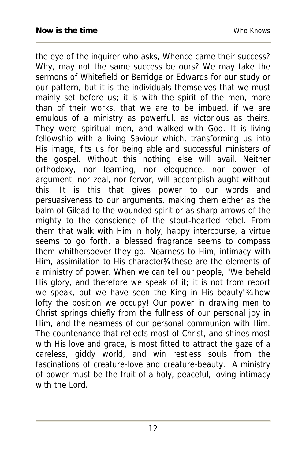the eye of the inquirer who asks, Whence came their success? Why, may not the same success be ours? We may take the sermons of Whitefield or Berridge or Edwards for our study or our pattern, but it is the individuals themselves that we must mainly set before us; it is with the spirit of the men, more than of their works, that we are to be imbued, if we are emulous of a ministry as powerful, as victorious as theirs. They were spiritual men, and walked with God. It is living fellowship with a living Saviour which, transforming us into His image, fits us for being able and successful ministers of the gospel. Without this nothing else will avail. Neither orthodoxy, nor learning, nor eloquence, nor power of argument, nor zeal, nor fervor, will accomplish aught without this. It is this that gives power to our words and persuasiveness to our arguments, making them either as the balm of Gilead to the wounded spirit or as sharp arrows of the mighty to the conscience of the stout-hearted rebel. From them that walk with Him in holy, happy intercourse, a virtue seems to go forth, a blessed fragrance seems to compass them whithersoever they go. Nearness to Him, intimacy with Him, assimilation to His character¾these are the elements of a ministry of power. When we can tell our people, "We beheld His glory, and therefore we speak of it; it is not from report we speak, but we have seen the King in His beauty"3/4how lofty the position we occupy! Our power in drawing men to Christ springs chiefly from the fullness of our personal joy in Him, and the nearness of our personal communion with Him. The countenance that reflects most of Christ, and shines most with His love and grace, is most fitted to attract the gaze of a careless, giddy world, and win restless souls from the fascinations of creature-love and creature-beauty. A ministry of power must be the fruit of a holy, peaceful, loving intimacy with the Lord.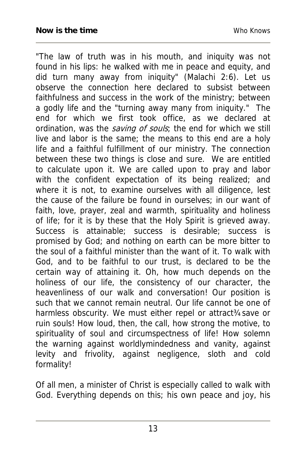"The law of truth was in his mouth, and iniquity was not found in his lips: he walked with me in peace and equity, and did turn many away from iniquity" (Malachi 2:6). Let us observe the connection here declared to subsist between faithfulness and success in the work of the ministry; between a godly life and the "turning away many from iniquity." The end for which we first took office, as we declared at ordination, was the *saving of souls*; the end for which we still live and labor is the same; the means to this end are a holy life and a faithful fulfillment of our ministry. The connection between these two things is close and sure. We are entitled to calculate upon it. We are called upon to pray and labor with the confident expectation of its being realized; and where it is not, to examine ourselves with all diligence, lest the cause of the failure be found in ourselves; in our want of faith, love, prayer, zeal and warmth, spirituality and holiness of life; for it is by these that the Holy Spirit is grieved away. Success is attainable; success is desirable; success is promised by God; and nothing on earth can be more bitter to the soul of a faithful minister than the want of it. To walk with God, and to be faithful to our trust, is declared to be the certain way of attaining it. Oh, how much depends on the holiness of our life, the consistency of our character, the heavenliness of our walk and conversation! Our position is such that we cannot remain neutral. Our life cannot be one of harmless obscurity. We must either repel or attract¾save or ruin souls! How loud, then, the call, how strong the motive, to spirituality of soul and circumspectness of life! How solemn the warning against worldlymindedness and vanity, against levity and frivolity, against negligence, sloth and cold formality!

Of all men, a minister of Christ is especially called to walk with God. Everything depends on this; his own peace and joy, his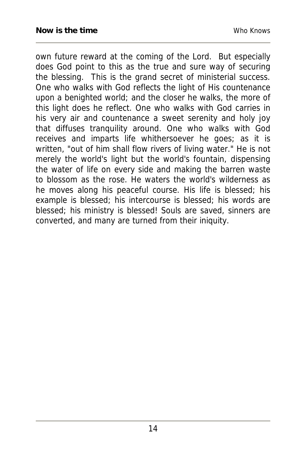own future reward at the coming of the Lord. But especially does God point to this as the true and sure way of securing the blessing. This is the grand secret of ministerial success. One who walks with God reflects the light of His countenance upon a benighted world; and the closer he walks, the more of this light does he reflect. One who walks with God carries in his very air and countenance a sweet serenity and holy joy that diffuses tranquility around. One who walks with God receives and imparts life whithersoever he goes; as it is written, "out of him shall flow rivers of living water." He is not merely the world's light but the world's fountain, dispensing the water of life on every side and making the barren waste to blossom as the rose. He waters the world's wilderness as he moves along his peaceful course. His life is blessed; his example is blessed; his intercourse is blessed; his words are blessed; his ministry is blessed! Souls are saved, sinners are converted, and many are turned from their iniquity.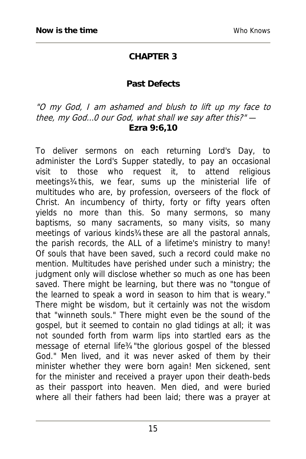## **CHAPTER 3**

#### **Past Defects**

#### "O my God, I am ashamed and blush to lift up my face to thee, my God…0 our God, what shall we say after this?" — **Ezra 9:6,10**

To deliver sermons on each returning Lord's Day, to administer the Lord's Supper statedly, to pay an occasional visit to those who request it, to attend religious meetings¾this, we fear, sums up the ministerial life of multitudes who are, by profession, overseers of the flock of Christ. An incumbency of thirty, forty or fifty years often yields no more than this. So many sermons, so many baptisms, so many sacraments, so many visits, so many meetings of various kinds¾these are all the pastoral annals, the parish records, the ALL of a lifetime's ministry to many! Of souls that have been saved, such a record could make no mention. Multitudes have perished under such a ministry; the judgment only will disclose whether so much as one has been saved. There might be learning, but there was no "tongue of the learned to speak a word in season to him that is weary." There might be wisdom, but it certainly was not the wisdom that "winneth souls." There might even be the sound of the gospel, but it seemed to contain no glad tidings at all; it was not sounded forth from warm lips into startled ears as the message of eternal life¾"the glorious gospel of the blessed God." Men lived, and it was never asked of them by their minister whether they were born again! Men sickened, sent for the minister and received a prayer upon their death-beds as their passport into heaven. Men died, and were buried where all their fathers had been laid; there was a prayer at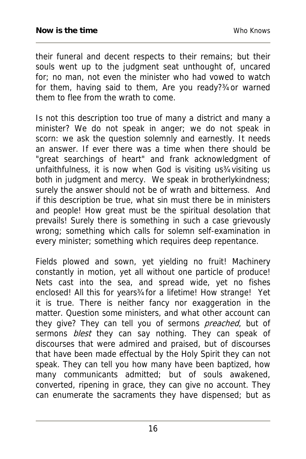their funeral and decent respects to their remains; but their souls went up to the judgment seat unthought of, uncared for; no man, not even the minister who had vowed to watch for them, having said to them, Are you ready?¾or warned them to flee from the wrath to come.

Is not this description too true of many a district and many a minister? We do not speak in anger; we do not speak in scorn: we ask the question solemnly and earnestly. It needs an answer. If ever there was a time when there should be "great searchings of heart" and frank acknowledgment of unfaithfulness, it is now when God is visiting us34 visiting us both in judgment and mercy. We speak in brotherlykindness; surely the answer should not be of wrath and bitterness. And if this description be true, what sin must there be in ministers and people! How great must be the spiritual desolation that prevails! Surely there is something in such a case grievously wrong; something which calls for solemn self-examination in every minister; something which requires deep repentance.

Fields plowed and sown, yet yielding no fruit! Machinery constantly in motion, yet all without one particle of produce! Nets cast into the sea, and spread wide, yet no fishes enclosed! All this for years¾for a lifetime! How strange! Yet it is true. There is neither fancy nor exaggeration in the matter. Question some ministers, and what other account can they give? They can tell you of sermons *preached*, but of sermons *blest* they can say nothing. They can speak of discourses that were admired and praised, but of discourses that have been made effectual by the Holy Spirit they can not speak. They can tell you how many have been baptized, how many communicants admitted; but of souls awakened, converted, ripening in grace, they can give no account. They can enumerate the sacraments they have dispensed; but as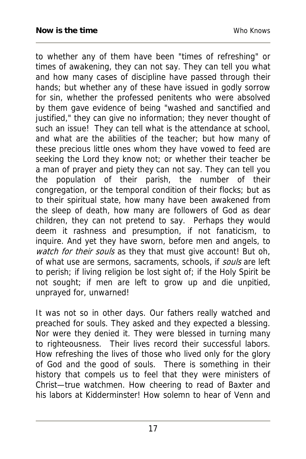to whether any of them have been "times of refreshing" or times of awakening, they can not say. They can tell you what and how many cases of discipline have passed through their hands; but whether any of these have issued in godly sorrow for sin, whether the professed penitents who were absolved by them gave evidence of being "washed and sanctified and justified," they can give no information; they never thought of such an issue! They can tell what is the attendance at school, and what are the abilities of the teacher; but how many of these precious little ones whom they have vowed to feed are seeking the Lord they know not; or whether their teacher be a man of prayer and piety they can not say. They can tell you the population of their parish, the number of their congregation, or the temporal condition of their flocks; but as to their spiritual state, how many have been awakened from the sleep of death, how many are followers of God as dear children, they can not pretend to say. Perhaps they would deem it rashness and presumption, if not fanaticism, to inquire. And yet they have sworn, before men and angels, to watch for their souls as they that must give account! But oh, of what use are sermons, sacraments, schools, if souls are left to perish; if living religion be lost sight of; if the Holy Spirit be not sought; if men are left to grow up and die unpitied, unprayed for, unwarned!

It was not so in other days. Our fathers really watched and preached for souls. They asked and they expected a blessing. Nor were they denied it. They were blessed in turning many to righteousness. Their lives record their successful labors. How refreshing the lives of those who lived only for the glory of God and the good of souls. There is something in their history that compels us to feel that they were ministers of Christ—true watchmen. How cheering to read of Baxter and his labors at Kidderminster! How solemn to hear of Venn and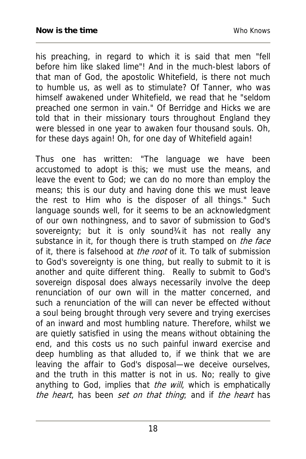his preaching, in regard to which it is said that men "fell before him like slaked lime"! And in the much-blest labors of that man of God, the apostolic Whitefield, is there not much to humble us, as well as to stimulate? Of Tanner, who was himself awakened under Whitefield, we read that he "seldom preached one sermon in vain." Of Berridge and Hicks we are told that in their missionary tours throughout England they were blessed in one year to awaken four thousand souls. Oh, for these days again! Oh, for one day of Whitefield again!

Thus one has written: "The language we have been accustomed to adopt is this; we must use the means, and leave the event to God; we can do no more than employ the means; this is our duty and having done this we must leave the rest to Him who is the disposer of all things." Such language sounds well, for it seems to be an acknowledgment of our own nothingness, and to savor of submission to God's sovereignty; but it is only sound¾it has not really any substance in it, for though there is truth stamped on the face of it, there is falsehood at *the root* of it. To talk of submission to God's sovereignty is one thing, but really to submit to it is another and quite different thing. Really to submit to God's sovereign disposal does always necessarily involve the deep renunciation of our own will in the matter concerned, and such a renunciation of the will can never be effected without a soul being brought through very severe and trying exercises of an inward and most humbling nature. Therefore, whilst we are quietly satisfied in using the means without obtaining the end, and this costs us no such painful inward exercise and deep humbling as that alluded to, if we think that we are leaving the affair to God's disposal—we deceive ourselves, and the truth in this matter is not in us. No; really to give anything to God, implies that the will, which is emphatically the heart, has been set on that thing; and if the heart has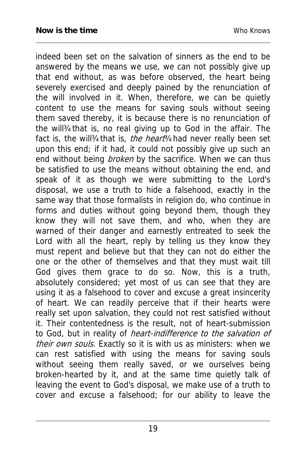indeed been set on the salvation of sinners as the end to be answered by the means we use, we can not possibly give up that end without, as was before observed, the heart being severely exercised and deeply pained by the renunciation of the will involved in it. When, therefore, we can be quietly content to use the means for saving souls without seeing them saved thereby, it is because there is no renunciation of the will¾that is, no real giving up to God in the affair. The fact is, the will<sup>3</sup>/4 that is, *the heart*<sup>3</sup>/4 had never really been set upon this end; if it had, it could not possibly give up such an end without being *broken* by the sacrifice. When we can thus be satisfied to use the means without obtaining the end, and speak of it as though we were submitting to the Lord's disposal, we use a truth to hide a falsehood, exactly in the same way that those formalists in religion do, who continue in forms and duties without going beyond them, though they know they will not save them, and who, when they are warned of their danger and earnestly entreated to seek the Lord with all the heart, reply by telling us they know they must repent and believe but that they can not do either the one or the other of themselves and that they must wait till God gives them grace to do so. Now, this is a truth, absolutely considered; yet most of us can see that they are using it as a falsehood to cover and excuse a great insincerity of heart. We can readily perceive that if their hearts were really set upon salvation, they could not rest satisfied without it. Their contentedness is the result, not of heart-submission to God, but in reality of *heart-indifference to the salvation of* their own souls. Exactly so it is with us as ministers: when we can rest satisfied with using the means for saving souls without seeing them really saved, or we ourselves being broken-hearted by it, and at the same time quietly talk of leaving the event to God's disposal, we make use of a truth to cover and excuse a falsehood; for our ability to leave the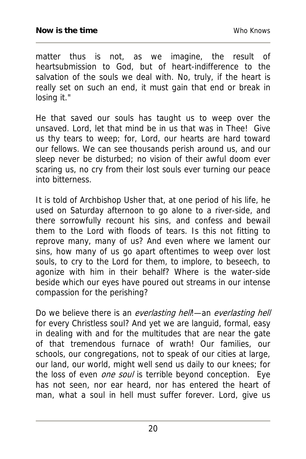matter thus is not, as we imagine, the result of heartsubmission to God, but of heart-indifference to the salvation of the souls we deal with. No, truly, if the heart is really set on such an end, it must gain that end or break in losing it."

He that saved our souls has taught us to weep over the unsaved. Lord, let that mind be in us that was in Thee! Give us thy tears to weep; for, Lord, our hearts are hard toward our fellows. We can see thousands perish around us, and our sleep never be disturbed; no vision of their awful doom ever scaring us, no cry from their lost souls ever turning our peace into bitterness.

It is told of Archbishop Usher that, at one period of his life, he used on Saturday afternoon to go alone to a river-side, and there sorrowfully recount his sins, and confess and bewail them to the Lord with floods of tears. Is this not fitting to reprove many, many of us? And even where we lament our sins, how many of us go apart oftentimes to weep over lost souls, to cry to the Lord for them, to implore, to beseech, to agonize with him in their behalf? Where is the water-side beside which our eyes have poured out streams in our intense compassion for the perishing?

Do we believe there is an everlasting hell.—an everlasting hell for every Christless soul? And yet we are languid, formal, easy in dealing with and for the multitudes that are near the gate of that tremendous furnace of wrath! Our families, our schools, our congregations, not to speak of our cities at large, our land, our world, might well send us daily to our knees; for the loss of even *one soul* is terrible beyond conception. Eye has not seen, nor ear heard, nor has entered the heart of man, what a soul in hell must suffer forever. Lord, give us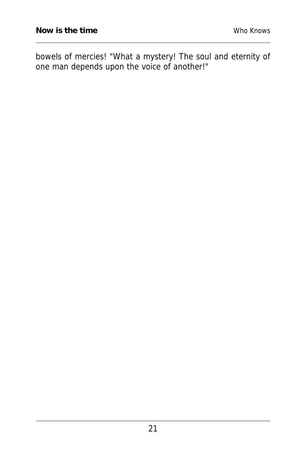bowels of mercies! "What a mystery! The soul and eternity of one man depends upon the voice of another!"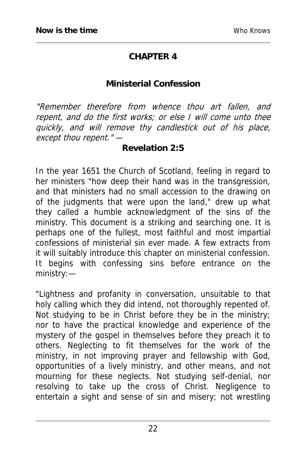## **CHAPTER 4**

#### **Ministerial Confession**

"Remember therefore from whence thou art fallen, and repent, and do the first works; or else I will come unto thee quickly, and will remove thy candlestick out of his place, except thou repent." —

#### **Revelation 2:5**

In the year 1651 the Church of Scotland, feeling in regard to her ministers "how deep their hand was in the transgression, and that ministers had no small accession to the drawing on of the judgments that were upon the land," drew up what they called a humble acknowledgment of the sins of the ministry. This document is a striking and searching one. It is perhaps one of the fullest, most faithful and most impartial confessions of ministerial sin ever made. A few extracts from it will suitably introduce this chapter on ministerial confession. It begins with confessing sins before entrance on the ministry:—

"Lightness and profanity in conversation, unsuitable to that holy calling which they did intend, not thoroughly repented of. Not studying to be in Christ before they be in the ministry; nor to have the practical knowledge and experience of the mystery of the gospel in themselves before they preach it to others. Neglecting to fit themselves for the work of the ministry, in not improving prayer and fellowship with God, opportunities of a lively ministry, and other means, and not mourning for these neglects. Not studying self-denial, nor resolving to take up the cross of Christ. Negligence to entertain a sight and sense of sin and misery; not wrestling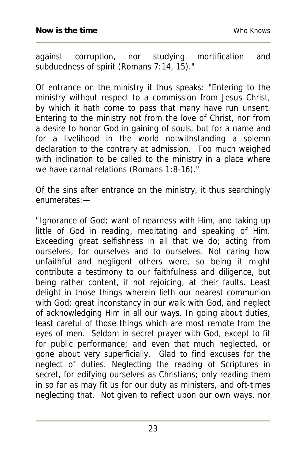against corruption, nor studying mortification and subduedness of spirit (Romans 7:14, 15)."

Of entrance on the ministry it thus speaks: "Entering to the ministry without respect to a commission from Jesus Christ, by which it hath come to pass that many have run unsent. Entering to the ministry not from the love of Christ, nor from a desire to honor God in gaining of souls, but for a name and for a livelihood in the world notwithstanding a solemn declaration to the contrary at admission. Too much weighed with inclination to be called to the ministry in a place where we have carnal relations (Romans 1:8-16)."

Of the sins after entrance on the ministry, it thus searchingly enumerates:—

"Ignorance of God; want of nearness with Him, and taking up little of God in reading, meditating and speaking of Him. Exceeding great selfishness in all that we do; acting from ourselves, for ourselves and to ourselves. Not caring how unfaithful and negligent others were, so being it might contribute a testimony to our faithfulness and diligence, but being rather content, if not rejoicing, at their faults. Least delight in those things wherein lieth our nearest communion with God; great inconstancy in our walk with God, and neglect of acknowledging Him in all our ways. In going about duties, least careful of those things which are most remote from the eyes of men. Seldom in secret prayer with God, except to fit for public performance; and even that much neglected, or gone about very superficially. Glad to find excuses for the neglect of duties. Neglecting the reading of Scriptures in secret, for edifying ourselves as Christians; only reading them in so far as may fit us for our duty as ministers, and oft-times neglecting that. Not given to reflect upon our own ways, nor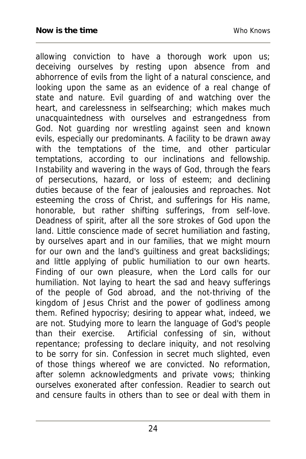allowing conviction to have a thorough work upon us; deceiving ourselves by resting upon absence from and abhorrence of evils from the light of a natural conscience, and looking upon the same as an evidence of a real change of state and nature. Evil guarding of and watching over the heart, and carelessness in selfsearching; which makes much unacquaintedness with ourselves and estrangedness from God. Not guarding nor wrestling against seen and known evils, especially our predominants. A facility to be drawn away with the temptations of the time, and other particular temptations, according to our inclinations and fellowship. Instability and wavering in the ways of God, through the fears of persecutions, hazard, or loss of esteem; and declining duties because of the fear of jealousies and reproaches. Not esteeming the cross of Christ, and sufferings for His name, honorable, but rather shifting sufferings, from self-love. Deadness of spirit, after all the sore strokes of God upon the land. Little conscience made of secret humiliation and fasting, by ourselves apart and in our families, that we might mourn for our own and the land's guiltiness and great backslidings; and little applying of public humiliation to our own hearts. Finding of our own pleasure, when the Lord calls for our humiliation. Not laying to heart the sad and heavy sufferings of the people of God abroad, and the not-thriving of the kingdom of Jesus Christ and the power of godliness among them. Refined hypocrisy; desiring to appear what, indeed, we are not. Studying more to learn the language of God's people than their exercise. Artificial confessing of sin, without repentance; professing to declare iniquity, and not resolving to be sorry for sin. Confession in secret much slighted, even of those things whereof we are convicted. No reformation, after solemn acknowledgments and private vows; thinking ourselves exonerated after confession. Readier to search out and censure faults in others than to see or deal with them in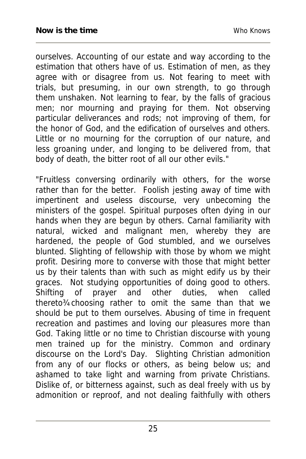ourselves. Accounting of our estate and way according to the estimation that others have of us. Estimation of men, as they agree with or disagree from us. Not fearing to meet with trials, but presuming, in our own strength, to go through them unshaken. Not learning to fear, by the falls of gracious men; nor mourning and praying for them. Not observing particular deliverances and rods; not improving of them, for the honor of God, and the edification of ourselves and others. Little or no mourning for the corruption of our nature, and less groaning under, and longing to be delivered from, that body of death, the bitter root of all our other evils."

"Fruitless conversing ordinarily with others, for the worse rather than for the better. Foolish jesting away of time with impertinent and useless discourse, very unbecoming the ministers of the gospel. Spiritual purposes often dying in our hands when they are begun by others. Carnal familiarity with natural, wicked and malignant men, whereby they are hardened, the people of God stumbled, and we ourselves blunted. Slighting of fellowship with those by whom we might profit. Desiring more to converse with those that might better us by their talents than with such as might edify us by their graces. Not studying opportunities of doing good to others. Shifting of prayer and other duties, when called thereto¾choosing rather to omit the same than that we should be put to them ourselves. Abusing of time in frequent recreation and pastimes and loving our pleasures more than God. Taking little or no time to Christian discourse with young men trained up for the ministry. Common and ordinary discourse on the Lord's Day. Slighting Christian admonition from any of our flocks or others, as being below us; and ashamed to take light and warning from private Christians. Dislike of, or bitterness against, such as deal freely with us by admonition or reproof, and not dealing faithfully with others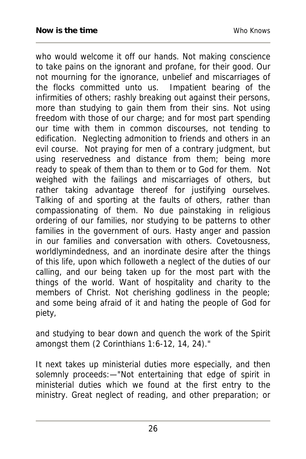who would welcome it off our hands. Not making conscience to take pains on the ignorant and profane, for their good. Our not mourning for the ignorance, unbelief and miscarriages of the flocks committed unto us. Impatient bearing of the infirmities of others; rashly breaking out against their persons, more than studying to gain them from their sins. Not using freedom with those of our charge; and for most part spending our time with them in common discourses, not tending to edification. Neglecting admonition to friends and others in an evil course. Not praying for men of a contrary judgment, but using reservedness and distance from them; being more ready to speak of them than to them or to God for them. Not weighed with the failings and miscarriages of others, but rather taking advantage thereof for justifying ourselves. Talking of and sporting at the faults of others, rather than compassionating of them. No due painstaking in religious ordering of our families, nor studying to be patterns to other families in the government of ours. Hasty anger and passion in our families and conversation with others. Covetousness, worldlymindedness, and an inordinate desire after the things of this life, upon which followeth a neglect of the duties of our calling, and our being taken up for the most part with the things of the world. Want of hospitality and charity to the members of Christ. Not cherishing godliness in the people; and some being afraid of it and hating the people of God for piety,

and studying to bear down and quench the work of the Spirit amongst them (2 Corinthians 1:6-12, 14, 24)."

It next takes up ministerial duties more especially, and then solemnly proceeds:—"Not entertaining that edge of spirit in ministerial duties which we found at the first entry to the ministry. Great neglect of reading, and other preparation; or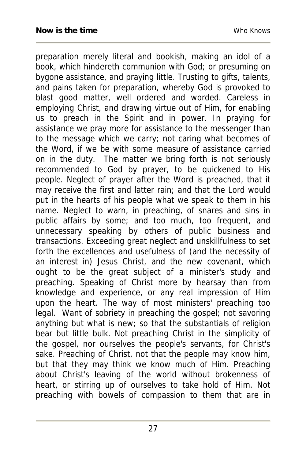preparation merely literal and bookish, making an idol of a book, which hindereth communion with God; or presuming on bygone assistance, and praying little. Trusting to gifts, talents, and pains taken for preparation, whereby God is provoked to blast good matter, well ordered and worded. Careless in employing Christ, and drawing virtue out of Him, for enabling us to preach in the Spirit and in power. In praying for assistance we pray more for assistance to the messenger than to the message which we carry; not caring what becomes of the Word, if we be with some measure of assistance carried on in the duty. The matter we bring forth is not seriously recommended to God by prayer, to be quickened to His people. Neglect of prayer after the Word is preached, that it may receive the first and latter rain; and that the Lord would put in the hearts of his people what we speak to them in his name. Neglect to warn, in preaching, of snares and sins in public affairs by some; and too much, too frequent, and unnecessary speaking by others of public business and transactions. Exceeding great neglect and unskillfulness to set forth the excellences and usefulness of (and the necessity of an interest in) Jesus Christ, and the new covenant, which ought to be the great subject of a minister's study and preaching. Speaking of Christ more by hearsay than from knowledge and experience, or any real impression of Him upon the heart. The way of most ministers' preaching too legal. Want of sobriety in preaching the gospel; not savoring anything but what is new; so that the substantials of religion bear but little bulk. Not preaching Christ in the simplicity of the gospel, nor ourselves the people's servants, for Christ's sake. Preaching of Christ, not that the people may know him, but that they may think we know much of Him. Preaching about Christ's leaving of the world without brokenness of heart, or stirring up of ourselves to take hold of Him. Not preaching with bowels of compassion to them that are in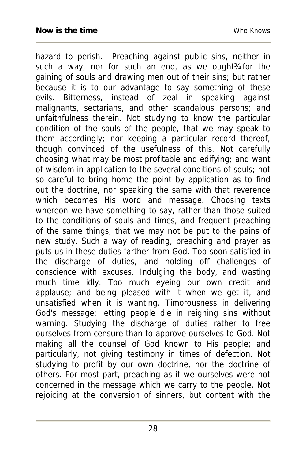hazard to perish. Preaching against public sins, neither in such a way, nor for such an end, as we ought¼for the gaining of souls and drawing men out of their sins; but rather because it is to our advantage to say something of these evils. Bitterness, instead of zeal in speaking against malignants, sectarians, and other scandalous persons; and unfaithfulness therein. Not studying to know the particular condition of the souls of the people, that we may speak to them accordingly; nor keeping a particular record thereof, though convinced of the usefulness of this. Not carefully choosing what may be most profitable and edifying; and want of wisdom in application to the several conditions of souls; not so careful to bring home the point by application as to find out the doctrine, nor speaking the same with that reverence which becomes His word and message. Choosing texts whereon we have something to say, rather than those suited to the conditions of souls and times, and frequent preaching of the same things, that we may not be put to the pains of new study. Such a way of reading, preaching and prayer as puts us in these duties farther from God. Too soon satisfied in the discharge of duties, and holding off challenges of conscience with excuses. Indulging the body, and wasting much time idly. Too much eyeing our own credit and applause; and being pleased with it when we get it, and unsatisfied when it is wanting. Timorousness in delivering God's message; letting people die in reigning sins without warning. Studying the discharge of duties rather to free ourselves from censure than to approve ourselves to God. Not making all the counsel of God known to His people; and particularly, not giving testimony in times of defection. Not studying to profit by our own doctrine, nor the doctrine of others. For most part, preaching as if we ourselves were not concerned in the message which we carry to the people. Not rejoicing at the conversion of sinners, but content with the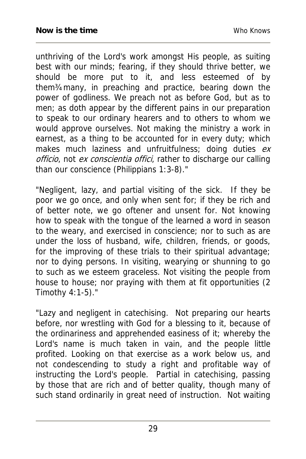unthriving of the Lord's work amongst His people, as suiting best with our minds; fearing, if they should thrive better, we should be more put to it, and less esteemed of by them¾many, in preaching and practice, bearing down the power of godliness. We preach not as before God, but as to men; as doth appear by the different pains in our preparation to speak to our ordinary hearers and to others to whom we would approve ourselves. Not making the ministry a work in earnest, as a thing to be accounted for in every duty; which makes much laziness and unfruitfulness; doing duties ex officio, not ex conscientia offici, rather to discharge our calling than our conscience (Philippians 1:3-8)."

"Negligent, lazy, and partial visiting of the sick. If they be poor we go once, and only when sent for; if they be rich and of better note, we go oftener and unsent for. Not knowing how to speak with the tongue of the learned a word in season to the weary, and exercised in conscience; nor to such as are under the loss of husband, wife, children, friends, or goods, for the improving of these trials to their spiritual advantage; nor to dying persons. In visiting, wearying or shunning to go to such as we esteem graceless. Not visiting the people from house to house; nor praying with them at fit opportunities (2 Timothy 4:1-5)."

"Lazy and negligent in catechising. Not preparing our hearts before, nor wrestling with God for a blessing to it, because of the ordinariness and apprehended easiness of it; whereby the Lord's name is much taken in vain, and the people little profited. Looking on that exercise as a work below us, and not condescending to study a right and profitable way of instructing the Lord's people. Partial in catechising, passing by those that are rich and of better quality, though many of such stand ordinarily in great need of instruction. Not waiting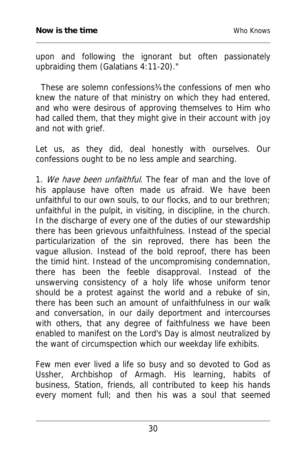upon and following the ignorant but often passionately upbraiding them (Galatians 4:11-20)."

 These are solemn confessions¾the confessions of men who knew the nature of that ministry on which they had entered, and who were desirous of approving themselves to Him who had called them, that they might give in their account with joy and not with grief.

Let us, as they did, deal honestly with ourselves. Our confessions ought to be no less ample and searching.

1. We have been unfaithful. The fear of man and the love of his applause have often made us afraid. We have been unfaithful to our own souls, to our flocks, and to our brethren; unfaithful in the pulpit, in visiting, in discipline, in the church. In the discharge of every one of the duties of our stewardship there has been grievous unfaithfulness. Instead of the special particularization of the sin reproved, there has been the vague allusion. Instead of the bold reproof, there has been the timid hint. Instead of the uncompromising condemnation, there has been the feeble disapproval. Instead of the unswerving consistency of a holy life whose uniform tenor should be a protest against the world and a rebuke of sin, there has been such an amount of unfaithfulness in our walk and conversation, in our daily deportment and intercourses with others, that any degree of faithfulness we have been enabled to manifest on the Lord's Day is almost neutralized by the want of circumspection which our weekday life exhibits.

Few men ever lived a life so busy and so devoted to God as Ussher, Archbishop of Armagh. His learning, habits of business, Station, friends, all contributed to keep his hands every moment full; and then his was a soul that seemed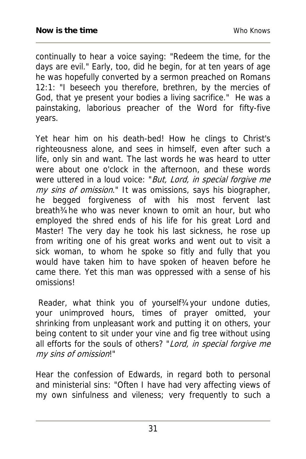continually to hear a voice saying: "Redeem the time, for the days are evil." Early, too, did he begin, for at ten years of age he was hopefully converted by a sermon preached on Romans 12:1: "I beseech you therefore, brethren, by the mercies of God, that ye present your bodies a living sacrifice." He was a painstaking, laborious preacher of the Word for fifty-five years.

Yet hear him on his death-bed! How he clings to Christ's righteousness alone, and sees in himself, even after such a life, only sin and want. The last words he was heard to utter were about one o'clock in the afternoon, and these words were uttered in a loud voice: "But, Lord, in special forgive me my sins of omission." It was omissions, says his biographer, he begged forgiveness of with his most fervent last breath¾he who was never known to omit an hour, but who employed the shred ends of his life for his great Lord and Master! The very day he took his last sickness, he rose up from writing one of his great works and went out to visit a sick woman, to whom he spoke so fitly and fully that you would have taken him to have spoken of heaven before he came there. Yet this man was oppressed with a sense of his omissions!

Reader, what think you of yourself3/4your undone duties, your unimproved hours, times of prayer omitted, your shrinking from unpleasant work and putting it on others, your being content to sit under your vine and fig tree without using all efforts for the souls of others? "Lord, in special forgive me my sins of omission!"

Hear the confession of Edwards, in regard both to personal and ministerial sins: "Often I have had very affecting views of my own sinfulness and vileness; very frequently to such a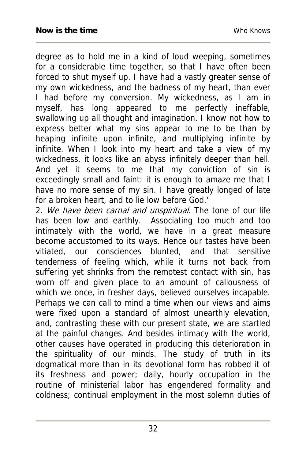degree as to hold me in a kind of loud weeping, sometimes for a considerable time together, so that I have often been forced to shut myself up. I have had a vastly greater sense of my own wickedness, and the badness of my heart, than ever I had before my conversion. My wickedness, as I am in myself, has long appeared to me perfectly ineffable, swallowing up all thought and imagination. I know not how to express better what my sins appear to me to be than by heaping infinite upon infinite, and multiplying infinite by infinite. When I look into my heart and take a view of my wickedness, it looks like an abyss infinitely deeper than hell. And yet it seems to me that my conviction of sin is exceedingly small and faint: it is enough to amaze me that I have no more sense of my sin. I have greatly longed of late for a broken heart, and to lie low before God."

2. We have been carnal and unspiritual. The tone of our life has been low and earthly. Associating too much and too intimately with the world, we have in a great measure become accustomed to its ways. Hence our tastes have been vitiated, our consciences blunted, and that sensitive tenderness of feeling which, while it turns not back from suffering yet shrinks from the remotest contact with sin, has worn off and given place to an amount of callousness of which we once, in fresher days, believed ourselves incapable. Perhaps we can call to mind a time when our views and aims were fixed upon a standard of almost unearthly elevation, and, contrasting these with our present state, we are startled at the painful changes. And besides intimacy with the world, other causes have operated in producing this deterioration in the spirituality of our minds. The study of truth in its dogmatical more than in its devotional form has robbed it of its freshness and power; daily, hourly occupation in the routine of ministerial labor has engendered formality and coldness; continual employment in the most solemn duties of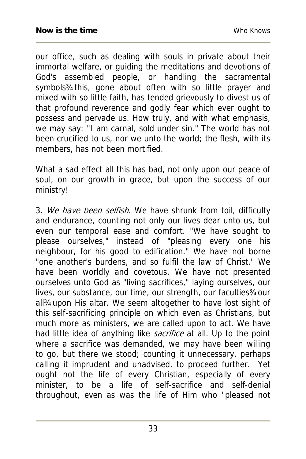our office, such as dealing with souls in private about their immortal welfare, or guiding the meditations and devotions of God's assembled people, or handling the sacramental symbols¾this, gone about often with so little prayer and mixed with so little faith, has tended grievously to divest us of that profound reverence and godly fear which ever ought to possess and pervade us. How truly, and with what emphasis, we may say: "I am carnal, sold under sin." The world has not been crucified to us, nor we unto the world; the flesh, with its members, has not been mortified.

What a sad effect all this has bad, not only upon our peace of soul, on our growth in grace, but upon the success of our ministry!

3. We have been selfish. We have shrunk from toil, difficulty and endurance, counting not only our lives dear unto us, but even our temporal ease and comfort. "We have sought to please ourselves," instead of "pleasing every one his neighbour, for his good to edification." We have not borne "one another's burdens, and so fulfil the law of Christ." We have been worldly and covetous. We have not presented ourselves unto God as "living sacrifices," laying ourselves, our lives, our substance, our time, our strength, our faculties 3/4 our all¾upon His altar. We seem altogether to have lost sight of this self-sacrificing principle on which even as Christians, but much more as ministers, we are called upon to act. We have had little idea of anything like *sacrifice* at all. Up to the point where a sacrifice was demanded, we may have been willing to go, but there we stood; counting it unnecessary, perhaps calling it imprudent and unadvised, to proceed further. Yet ought not the life of every Christian, especially of every minister, to be a life of self-sacrifice and self-denial throughout, even as was the life of Him who "pleased not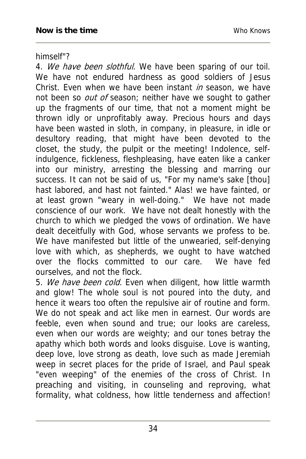#### himself"?

4. We have been slothful. We have been sparing of our toil. We have not endured hardness as good soldiers of Jesus Christ. Even when we have been instant in season, we have not been so *out of* season; neither have we sought to gather up the fragments of our time, that not a moment might be thrown idly or unprofitably away. Precious hours and days have been wasted in sloth, in company, in pleasure, in idle or desultory reading, that might have been devoted to the closet, the study, the pulpit or the meeting! Indolence, selfindulgence, fickleness, fleshpleasing, have eaten like a canker into our ministry, arresting the blessing and marring our success. It can not be said of us, "For my name's sake [thou] hast labored, and hast not fainted." Alas! we have fainted, or at least grown "weary in well-doing." We have not made conscience of our work. We have not dealt honestly with the church to which we pledged the vows of ordination. We have dealt deceitfully with God, whose servants we profess to be. We have manifested but little of the unwearied, self-denying love with which, as shepherds, we ought to have watched over the flocks committed to our care. We have fed ourselves, and not the flock.

5. We have been cold. Even when diligent, how little warmth and glow! The whole soul is not poured into the duty, and hence it wears too often the repulsive air of routine and form. We do not speak and act like men in earnest. Our words are feeble, even when sound and true; our looks are careless, even when our words are weighty; and our tones betray the apathy which both words and looks disguise. Love is wanting, deep love, love strong as death, love such as made Jeremiah weep in secret places for the pride of Israel, and Paul speak "even weeping" of the enemies of the cross of Christ. In preaching and visiting, in counseling and reproving, what formality, what coldness, how little tenderness and affection!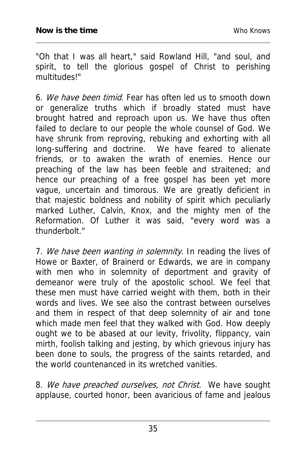"Oh that I was all heart," said Rowland Hill, "and soul, and spirit, to tell the glorious gospel of Christ to perishing multitudes!"

6. We have been timid. Fear has often led us to smooth down or generalize truths which if broadly stated must have brought hatred and reproach upon us. We have thus often failed to declare to our people the whole counsel of God. We have shrunk from reproving, rebuking and exhorting with all long-suffering and doctrine. We have feared to alienate friends, or to awaken the wrath of enemies. Hence our preaching of the law has been feeble and straitened; and hence our preaching of a free gospel has been yet more vague, uncertain and timorous. We are greatly deficient in that majestic boldness and nobility of spirit which peculiarly marked Luther, Calvin, Knox, and the mighty men of the Reformation. Of Luther it was said, "every word was a thunderbolt."

7. We have been wanting in solemnity. In reading the lives of Howe or Baxter, of Brainerd or Edwards, we are in company with men who in solemnity of deportment and gravity of demeanor were truly of the apostolic school. We feel that these men must have carried weight with them, both in their words and lives. We see also the contrast between ourselves and them in respect of that deep solemnity of air and tone which made men feel that they walked with God. How deeply ought we to be abased at our levity, frivolity, flippancy, vain mirth, foolish talking and jesting, by which grievous injury has been done to souls, the progress of the saints retarded, and the world countenanced in its wretched vanities.

8. We have preached ourselves, not Christ. We have sought applause, courted honor, been avaricious of fame and jealous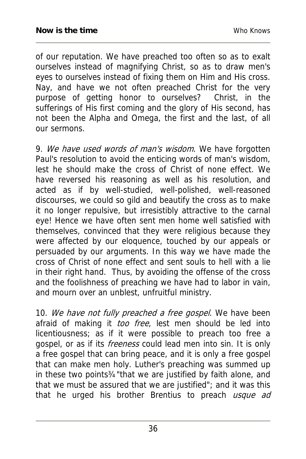of our reputation. We have preached too often so as to exalt ourselves instead of magnifying Christ, so as to draw men's eyes to ourselves instead of fixing them on Him and His cross. Nay, and have we not often preached Christ for the very purpose of getting honor to ourselves? Christ, in the sufferings of His first coming and the glory of His second, has not been the Alpha and Omega, the first and the last, of all our sermons.

9. We have used words of man's wisdom. We have forgotten Paul's resolution to avoid the enticing words of man's wisdom, lest he should make the cross of Christ of none effect. We have reversed his reasoning as well as his resolution, and acted as if by well-studied, well-polished, well-reasoned discourses, we could so gild and beautify the cross as to make it no longer repulsive, but irresistibly attractive to the carnal eye! Hence we have often sent men home well satisfied with themselves, convinced that they were religious because they were affected by our eloquence, touched by our appeals or persuaded by our arguments. In this way we have made the cross of Christ of none effect and sent souls to hell with a lie in their right hand. Thus, by avoiding the offense of the cross and the foolishness of preaching we have had to labor in vain, and mourn over an unblest, unfruitful ministry.

10. We have not fully preached a free gospel. We have been afraid of making it *too free*, lest men should be led into licentiousness; as if it were possible to preach too free a gospel, or as if its *freeness* could lead men into sin. It is only a free gospel that can bring peace, and it is only a free gospel that can make men holy. Luther's preaching was summed up in these two points¾"that we are justified by faith alone, and that we must be assured that we are justified"; and it was this that he urged his brother Brentius to preach *usque ad*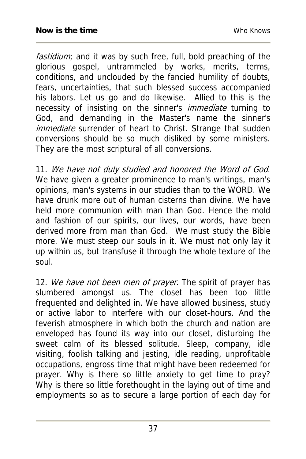fastidium; and it was by such free, full, bold preaching of the glorious gospel, untrammeled by works, merits, terms, conditions, and unclouded by the fancied humility of doubts, fears, uncertainties, that such blessed success accompanied his labors. Let us go and do likewise. Allied to this is the necessity of insisting on the sinner's *immediate* turning to God, and demanding in the Master's name the sinner's immediate surrender of heart to Christ. Strange that sudden conversions should be so much disliked by some ministers. They are the most scriptural of all conversions.

11. We have not duly studied and honored the Word of God. We have given a greater prominence to man's writings, man's opinions, man's systems in our studies than to the WORD. We have drunk more out of human cisterns than divine. We have held more communion with man than God. Hence the mold and fashion of our spirits, our lives, our words, have been derived more from man than God. We must study the Bible more. We must steep our souls in it. We must not only lay it up within us, but transfuse it through the whole texture of the soul.

12. We have not been men of prayer. The spirit of prayer has slumbered amongst us. The closet has been too little frequented and delighted in. We have allowed business, study or active labor to interfere with our closet-hours. And the feverish atmosphere in which both the church and nation are enveloped has found its way into our closet, disturbing the sweet calm of its blessed solitude. Sleep, company, idle visiting, foolish talking and jesting, idle reading, unprofitable occupations, engross time that might have been redeemed for prayer. Why is there so little anxiety to get time to pray? Why is there so little forethought in the laying out of time and employments so as to secure a large portion of each day for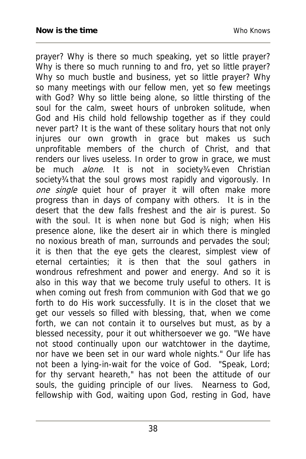prayer? Why is there so much speaking, yet so little prayer? Why is there so much running to and fro, yet so little prayer? Why so much bustle and business, yet so little prayer? Why so many meetings with our fellow men, yet so few meetings with God? Why so little being alone, so little thirsting of the soul for the calm, sweet hours of unbroken solitude, when God and His child hold fellowship together as if they could never part? It is the want of these solitary hours that not only injures our own growth in grace but makes us such unprofitable members of the church of Christ, and that renders our lives useless. In order to grow in grace, we must be much *alone*. It is not in society¾even Christian society<sup>3</sup>/<sub>4</sub> that the soul grows most rapidly and vigorously. In one single quiet hour of prayer it will often make more progress than in days of company with others. It is in the desert that the dew falls freshest and the air is purest. So with the soul. It is when none but God is nigh; when His presence alone, like the desert air in which there is mingled no noxious breath of man, surrounds and pervades the soul; it is then that the eye gets the clearest, simplest view of eternal certainties; it is then that the soul gathers in wondrous refreshment and power and energy. And so it is also in this way that we become truly useful to others. It is when coming out fresh from communion with God that we go forth to do His work successfully. It is in the closet that we get our vessels so filled with blessing, that, when we come forth, we can not contain it to ourselves but must, as by a blessed necessity, pour it out whithersoever we go. "We have not stood continually upon our watchtower in the daytime, nor have we been set in our ward whole nights." Our life has not been a lying-in-wait for the voice of God. "Speak, Lord; for thy servant heareth," has not been the attitude of our souls, the guiding principle of our lives. Nearness to God, fellowship with God, waiting upon God, resting in God, have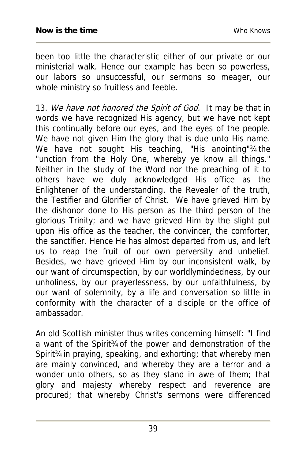been too little the characteristic either of our private or our ministerial walk. Hence our example has been so powerless, our labors so unsuccessful, our sermons so meager, our whole ministry so fruitless and feeble.

13. We have not honored the Spirit of God. It may be that in words we have recognized His agency, but we have not kept this continually before our eyes, and the eyes of the people. We have not given Him the glory that is due unto His name. We have not sought His teaching, "His anointing"3/4the "unction from the Holy One, whereby ye know all things." Neither in the study of the Word nor the preaching of it to others have we duly acknowledged His office as the Enlightener of the understanding, the Revealer of the truth, the Testifier and Glorifier of Christ. We have grieved Him by the dishonor done to His person as the third person of the glorious Trinity; and we have grieved Him by the slight put upon His office as the teacher, the convincer, the comforter, the sanctifier. Hence He has almost departed from us, and left us to reap the fruit of our own perversity and unbelief. Besides, we have grieved Him by our inconsistent walk, by our want of circumspection, by our worldlymindedness, by our unholiness, by our prayerlessness, by our unfaithfulness, by our want of solemnity, by a life and conversation so little in conformity with the character of a disciple or the office of ambassador.

An old Scottish minister thus writes concerning himself: "I find a want of the Spirit¾of the power and demonstration of the Spirit<sup>3</sup>/4 in praying, speaking, and exhorting; that whereby men are mainly convinced, and whereby they are a terror and a wonder unto others, so as they stand in awe of them; that glory and majesty whereby respect and reverence are procured; that whereby Christ's sermons were differenced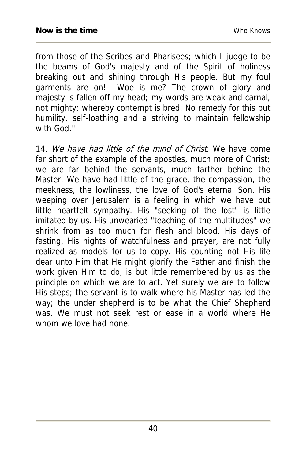from those of the Scribes and Pharisees; which I judge to be the beams of God's majesty and of the Spirit of holiness breaking out and shining through His people. But my foul garments are on! Woe is me? The crown of glory and majesty is fallen off my head; my words are weak and carnal, not mighty; whereby contempt is bred. No remedy for this but humility, self-loathing and a striving to maintain fellowship with God."

14. We have had little of the mind of Christ. We have come far short of the example of the apostles, much more of Christ; we are far behind the servants, much farther behind the Master. We have had little of the grace, the compassion, the meekness, the lowliness, the love of God's eternal Son. His weeping over Jerusalem is a feeling in which we have but little heartfelt sympathy. His "seeking of the lost" is little imitated by us. His unwearied "teaching of the multitudes" we shrink from as too much for flesh and blood. His days of fasting, His nights of watchfulness and prayer, are not fully realized as models for us to copy. His counting not His life dear unto Him that He might glorify the Father and finish the work given Him to do, is but little remembered by us as the principle on which we are to act. Yet surely we are to follow His steps; the servant is to walk where his Master has led the way; the under shepherd is to be what the Chief Shepherd was. We must not seek rest or ease in a world where He whom we love had none.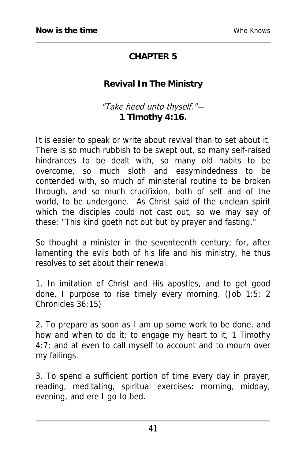# **CHAPTER 5**

## **Revival In The Ministry**

#### "Take heed unto thyself."— **1 Timothy 4:16.**

It is easier to speak or write about revival than to set about it. There is so much rubbish to be swept out, so many self-raised hindrances to be dealt with, so many old habits to be overcome, so much sloth and easymindedness to be contended with, so much of ministerial routine to be broken through, and so much crucifixion, both of self and of the world, to be undergone. As Christ said of the unclean spirit which the disciples could not cast out, so we may say of these: "This kind goeth not out but by prayer and fasting."

So thought a minister in the seventeenth century; for, after lamenting the evils both of his life and his ministry, he thus resolves to set about their renewal.

1. In imitation of Christ and His apostles, and to get good done, I purpose to rise timely every morning. (Job 1:5; 2 Chronicles 36:15)

2. To prepare as soon as I am up some work to be done, and how and when to do it; to engage my heart to it, 1 Timothy 4:7; and at even to call myself to account and to mourn over my failings.

3. To spend a sufficient portion of time every day in prayer, reading, meditating, spiritual exercises: morning, midday, evening, and ere I go to bed.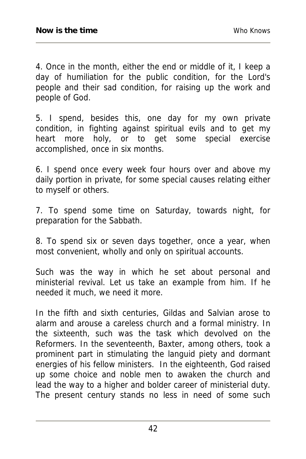4. Once in the month, either the end or middle of it, I keep a day of humiliation for the public condition, for the Lord's people and their sad condition, for raising up the work and people of God.

5. I spend, besides this, one day for my own private condition, in fighting against spiritual evils and to get my heart more holy, or to get some special exercise accomplished, once in six months.

6. I spend once every week four hours over and above my daily portion in private, for some special causes relating either to myself or others.

7. To spend some time on Saturday, towards night, for preparation for the Sabbath.

8. To spend six or seven days together, once a year, when most convenient, wholly and only on spiritual accounts.

Such was the way in which he set about personal and ministerial revival. Let us take an example from him. If he needed it much, we need it more.

In the fifth and sixth centuries, Gildas and Salvian arose to alarm and arouse a careless church and a formal ministry. In the sixteenth, such was the task which devolved on the Reformers. In the seventeenth, Baxter, among others, took a prominent part in stimulating the languid piety and dormant energies of his fellow ministers. In the eighteenth, God raised up some choice and noble men to awaken the church and lead the way to a higher and bolder career of ministerial duty. The present century stands no less in need of some such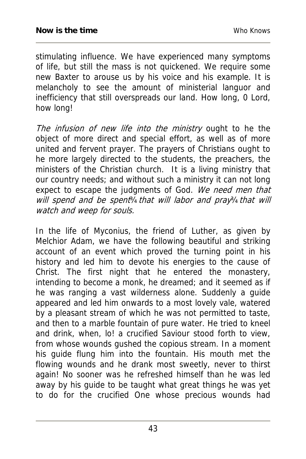stimulating influence. We have experienced many symptoms of life, but still the mass is not quickened. We require some new Baxter to arouse us by his voice and his example. It is melancholy to see the amount of ministerial languor and inefficiency that still overspreads our land. How long, 0 Lord, how long!

The infusion of new life into the ministry ought to he the object of more direct and special effort, as well as of more united and fervent prayer. The prayers of Christians ought to he more largely directed to the students, the preachers, the ministers of the Christian church. It is a living ministry that our country needs; and without such a ministry it can not long expect to escape the judgments of God. We need men that will spend and be spent<sup>9</sup>/4 that will labor and pray<sup>3</sup>/4 that will watch and weep for souls.

In the life of Myconius, the friend of Luther, as given by Melchior Adam, we have the following beautiful and striking account of an event which proved the turning point in his history and led him to devote his energies to the cause of Christ. The first night that he entered the monastery, intending to become a monk, he dreamed; and it seemed as if he was ranging a vast wilderness alone. Suddenly a guide appeared and led him onwards to a most lovely vale, watered by a pleasant stream of which he was not permitted to taste, and then to a marble fountain of pure water. He tried to kneel and drink, when, lo! a crucified Saviour stood forth to view, from whose wounds gushed the copious stream. In a moment his guide flung him into the fountain. His mouth met the flowing wounds and he drank most sweetly, never to thirst again! No sooner was he refreshed himself than he was led away by his guide to be taught what great things he was yet to do for the crucified One whose precious wounds had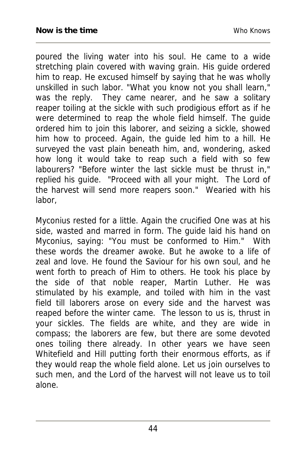poured the living water into his soul. He came to a wide stretching plain covered with waving grain. His guide ordered him to reap. He excused himself by saying that he was wholly unskilled in such labor. "What you know not you shall learn," was the reply. They came nearer, and he saw a solitary reaper toiling at the sickle with such prodigious effort as if he were determined to reap the whole field himself. The guide ordered him to join this laborer, and seizing a sickle, showed him how to proceed. Again, the guide led him to a hill. He surveyed the vast plain beneath him, and, wondering, asked how long it would take to reap such a field with so few labourers? "Before winter the last sickle must be thrust in," replied his guide. "Proceed with all your might. The Lord of the harvest will send more reapers soon." Wearied with his labor,

Myconius rested for a little. Again the crucified One was at his side, wasted and marred in form. The guide laid his hand on Myconius, saying: "You must be conformed to Him." With these words the dreamer awoke. But he awoke to a life of zeal and love. He found the Saviour for his own soul, and he went forth to preach of Him to others. He took his place by the side of that noble reaper, Martin Luther. He was stimulated by his example, and toiled with him in the vast field till laborers arose on every side and the harvest was reaped before the winter came. The lesson to us is, thrust in your sickles. The fields are white, and they are wide in compass; the laborers are few, but there are some devoted ones toiling there already. In other years we have seen Whitefield and Hill putting forth their enormous efforts, as if they would reap the whole field alone. Let us join ourselves to such men, and the Lord of the harvest will not leave us to toil alone.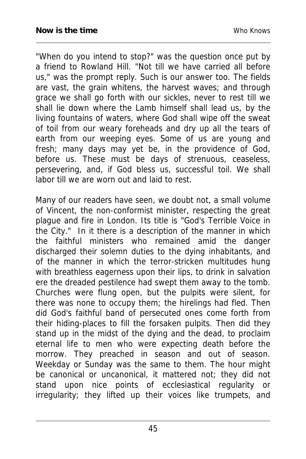"When do you intend to stop?" was the question once put by a friend to Rowland Hill. "Not till we have carried all before us," was the prompt reply. Such is our answer too. The fields are vast, the grain whitens, the harvest waves; and through grace we shall go forth with our sickles, never to rest till we shall lie down where the Lamb himself shall lead us, by the living fountains of waters, where God shall wipe off the sweat of toil from our weary foreheads and dry up all the tears of earth from our weeping eyes. Some of us are young and fresh; many days may yet be, in the providence of God, before us. These must be days of strenuous, ceaseless, persevering, and, if God bless us, successful toil. We shall labor till we are worn out and laid to rest.

Many of our readers have seen, we doubt not, a small volume of Vincent, the non-conformist minister, respecting the great plague and fire in London. Its title is "God's Terrible Voice in the City." In it there is a description of the manner in which the faithful ministers who remained amid the danger discharged their solemn duties to the dying inhabitants, and of the manner in which the terror-stricken multitudes hung with breathless eagerness upon their lips, to drink in salvation ere the dreaded pestilence had swept them away to the tomb. Churches were flung open, but the pulpits were silent, for there was none to occupy them; the hirelings had fled. Then did God's faithful band of persecuted ones come forth from their hiding-places to fill the forsaken pulpits. Then did they stand up in the midst of the dying and the dead, to proclaim eternal life to men who were expecting death before the morrow. They preached in season and out of season. Weekday or Sunday was the same to them. The hour might be canonical or uncanonical, it mattered not; they did not stand upon nice points of ecclesiastical regularity or irregularity; they lifted up their voices like trumpets, and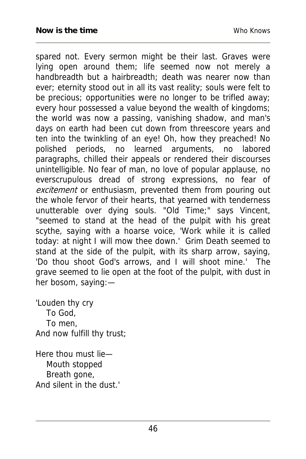spared not. Every sermon might be their last. Graves were lying open around them; life seemed now not merely a handbreadth but a hairbreadth; death was nearer now than ever; eternity stood out in all its vast reality; souls were felt to be precious; opportunities were no longer to be trifled away; every hour possessed a value beyond the wealth of kingdoms; the world was now a passing, vanishing shadow, and man's days on earth had been cut down from threescore years and ten into the twinkling of an eye! Oh, how they preached! No polished periods, no learned arguments, no labored paragraphs, chilled their appeals or rendered their discourses unintelligible. No fear of man, no love of popular applause, no everscrupulous dread of strong expressions, no fear of excitement or enthusiasm, prevented them from pouring out the whole fervor of their hearts, that yearned with tenderness unutterable over dying souls. "Old Time;" says Vincent, "seemed to stand at the head of the pulpit with his great scythe, saying with a hoarse voice, 'Work while it is called today: at night I will mow thee down.' Grim Death seemed to stand at the side of the pulpit, with its sharp arrow, saying, 'Do thou shoot God's arrows, and I will shoot mine.' The grave seemed to lie open at the foot of the pulpit, with dust in her bosom, saying:—

'Louden thy cry To God, To men, And now fulfill thy trust;

Here thou must lie— Mouth stopped Breath gone, And silent in the dust.'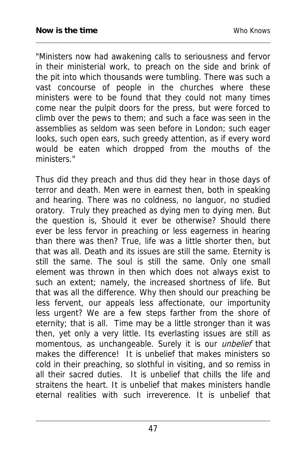"Ministers now had awakening calls to seriousness and fervor in their ministerial work, to preach on the side and brink of the pit into which thousands were tumbling. There was such a vast concourse of people in the churches where these ministers were to be found that they could not many times come near the pulpit doors for the press, but were forced to climb over the pews to them; and such a face was seen in the assemblies as seldom was seen before in London; such eager looks, such open ears, such greedy attention, as if every word would be eaten which dropped from the mouths of the ministers."

Thus did they preach and thus did they hear in those days of terror and death. Men were in earnest then, both in speaking and hearing. There was no coldness, no languor, no studied oratory. Truly they preached as dying men to dying men. But the question is, Should it ever be otherwise? Should there ever be less fervor in preaching or less eagerness in hearing than there was then? True, life was a little shorter then, but that was all. Death and its issues are still the same. Eternity is still the same. The soul is still the same. Only one small element was thrown in then which does not always exist to such an extent; namely, the increased shortness of life. But that was all the difference. Why then should our preaching be less fervent, our appeals less affectionate, our importunity less urgent? We are a few steps farther from the shore of eternity; that is all. Time may be a little stronger than it was then, yet only a very little. Its everlasting issues are still as momentous, as unchangeable. Surely it is our unbelief that makes the difference! It is unbelief that makes ministers so cold in their preaching, so slothful in visiting, and so remiss in all their sacred duties. It is unbelief that chills the life and straitens the heart. It is unbelief that makes ministers handle eternal realities with such irreverence. It is unbelief that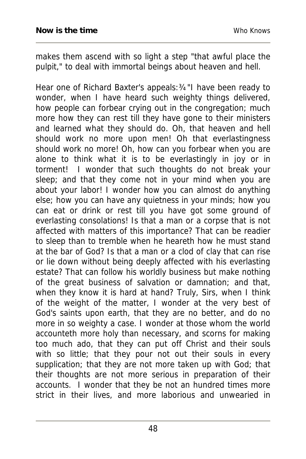makes them ascend with so light a step "that awful place the pulpit," to deal with immortal beings about heaven and hell.

Hear one of Richard Baxter's appeals:¾"I have been ready to wonder, when I have heard such weighty things delivered, how people can forbear crying out in the congregation; much more how they can rest till they have gone to their ministers and learned what they should do. Oh, that heaven and hell should work no more upon men! Oh that everlastingness should work no more! Oh, how can you forbear when you are alone to think what it is to be everlastingly in joy or in torment! I wonder that such thoughts do not break your sleep; and that they come not in your mind when you are about your labor! I wonder how you can almost do anything else; how you can have any quietness in your minds; how you can eat or drink or rest till you have got some ground of everlasting consolations! Is that a man or a corpse that is not affected with matters of this importance? That can be readier to sleep than to tremble when he heareth how he must stand at the bar of God? Is that a man or a clod of clay that can rise or lie down without being deeply affected with his everlasting estate? That can follow his worldly business but make nothing of the great business of salvation or damnation; and that, when they know it is hard at hand? Truly, Sirs, when I think of the weight of the matter, I wonder at the very best of God's saints upon earth, that they are no better, and do no more in so weighty a case. I wonder at those whom the world accounteth more holy than necessary, and scorns for making too much ado, that they can put off Christ and their souls with so little; that they pour not out their souls in every supplication; that they are not more taken up with God; that their thoughts are not more serious in preparation of their accounts. I wonder that they be not an hundred times more strict in their lives, and more laborious and unwearied in